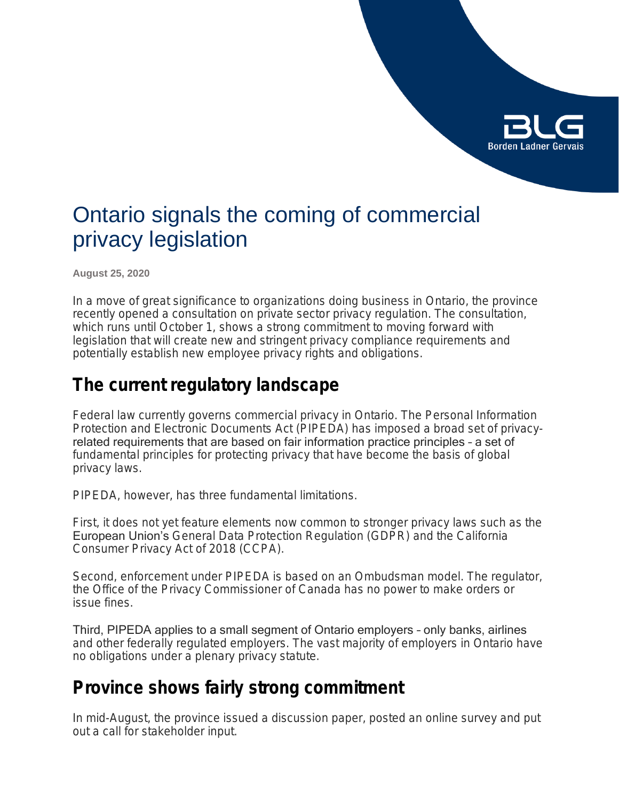

# Ontario signals the coming of commercial privacy legislation

**August 25, 2020**

In a move of great significance to organizations doing business in Ontario, the province recently opened a consultation on private sector privacy regulation. The consultation, which runs until October 1, shows a strong commitment to moving forward with legislation that will create new and stringent privacy compliance requirements and potentially establish new employee privacy rights and obligations.

### **The current regulatory landscape**

Federal law currently governs commercial privacy in Ontario. The *Personal Information Protection and Electronic Documents Act* (PIPEDA) has imposed a broad set of privacyrelated requirements that are based on fair information practice principles – a set of fundamental principles for protecting privacy that have become the basis of global privacy laws.

PIPEDA, however, has three fundamental limitations.

First, it does not yet feature elements now common to stronger privacy laws such as the European Union's *General Data Protection Regulation* (GDPR) and the *California Consumer Privacy Act of 2018* (CCPA).

Second, enforcement under PIPEDA is based on an Ombudsman model. The regulator, the Office of the Privacy Commissioner of Canada has no power to make orders or issue fines.

Third, PIPEDA applies to a small segment of Ontario employers – only banks, airlines and other federally regulated employers. The vast majority of employers in Ontario have no obligations under a plenary privacy statute.

### **Province shows fairly strong commitment**

In mid-August, the province issued a discussion paper, posted an online survey and put out a call for stakeholder input.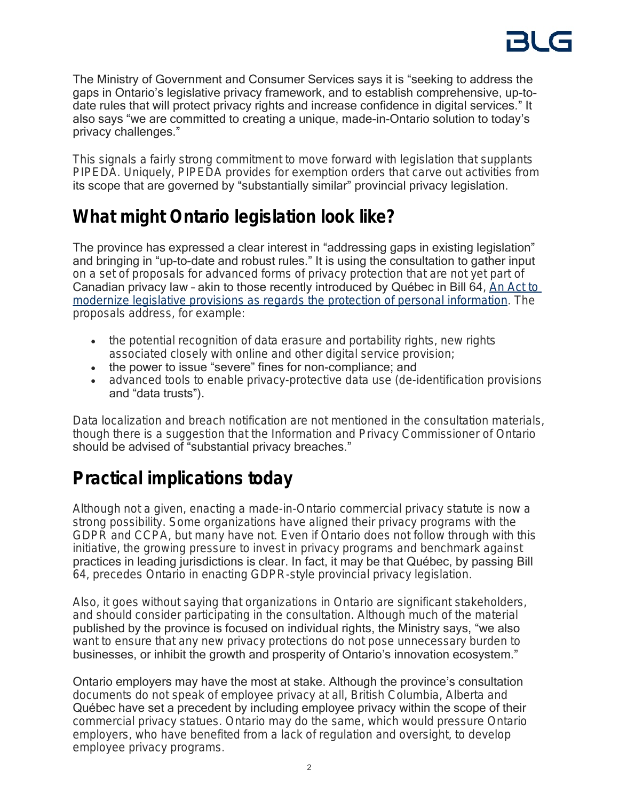The Ministry of Government and Consumer Services says it is "seeking to address the gaps in Ontario's legislative privacy framework, and to establish comprehensive, up-todate rules that will protect privacy rights and increase confidence in digital services." It also says "we are committed to creating a unique, made-in-Ontario solution to today's privacy challenges."

This signals a fairly strong commitment to move forward with legislation that supplants PIPEDA. Uniquely, PIPEDA provides for exemption orders that carve out activities from its scope that are governed by "substantially similar" provincial privacy legislation.

## **What might Ontario legislation look like?**

The province has expressed a clear interest in "addressing gaps in existing legislation" and bringing in "up-to-date and robust rules." It is using the consultation to gather input on a set of proposals for advanced forms of privacy protection that are not yet part of Canadian privacy law – akin to those recently introduced by Québec in Bill 64*, [An Act to](https://www.blg.com/en/insights/2020/06/proposed-amendments-to-quebec-privacy-law-impact-for-businesses)  [modernize legislative provisions as regards the protection of personal information](https://www.blg.com/en/insights/2020/06/proposed-amendments-to-quebec-privacy-law-impact-for-businesses)*. The proposals address, for example:

- the potential recognition of data erasure and portability rights, new rights associated closely with online and other digital service provision;
- the power to issue "severe" fines for non-compliance; and
- advanced tools to enable privacy-protective data use (de-identification provisions and "data trusts").

Data localization and breach notification are not mentioned in the consultation materials, though there is a suggestion that the Information and Privacy Commissioner of Ontario should be advised of "substantial privacy breaches."

# **Practical implications today**

Although not a given, enacting a made-in-Ontario commercial privacy statute is now a strong possibility. Some organizations have aligned their privacy programs with the GDPR and CCPA, but many have not. Even if Ontario does not follow through with this initiative, the growing pressure to invest in privacy programs and benchmark against practices in leading jurisdictions is clear. In fact, it may be that Québec, by passing Bill 64, precedes Ontario in enacting GDPR-style provincial privacy legislation.

Also, it goes without saying that organizations in Ontario are significant stakeholders, and should consider participating in the consultation. Although much of the material published by the province is focused on individual rights, the Ministry says, "we also want to ensure that any new privacy protections do not pose unnecessary burden to businesses, or inhibit the growth and prosperity of Ontario's innovation ecosystem."

Ontario employers may have the most at stake. Although the province's consultation documents do not speak of employee privacy at all, British Columbia, Alberta and Québec have set a precedent by including employee privacy within the scope of their commercial privacy statues. Ontario may do the same, which would pressure Ontario employers, who have benefited from a lack of regulation and oversight, to develop employee privacy programs.